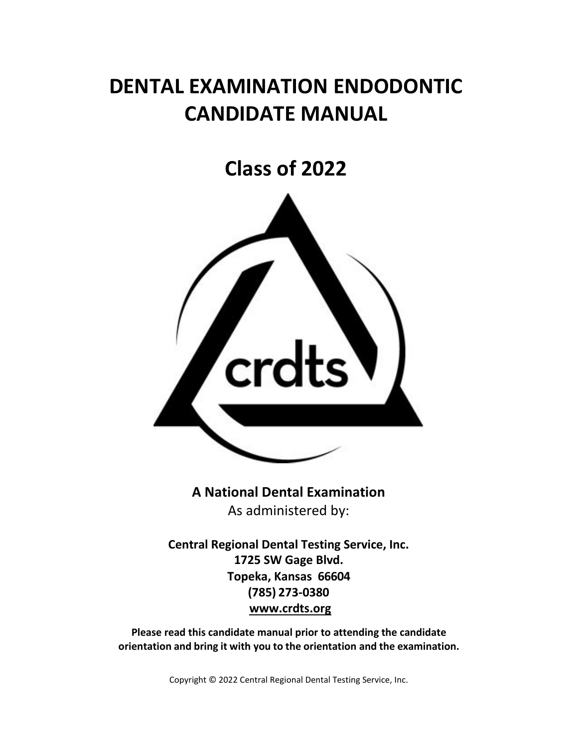# **DENTAL EXAMINATION ENDODONTIC CANDIDATE MANUAL**

# **Class of 2022**



**A National Dental Examination** As administered by:

**Central Regional Dental Testing Service, Inc. 1725 SW Gage Blvd. Topeka, Kansas 66604 (785) 273-0380 [www.crdts.org](http://www.srta.org/)**

**Please read this candidate manual prior to attending the candidate orientation and bring it with you to the orientation and the examination.**

Copyright © 2022 Central Regional Dental Testing Service, Inc.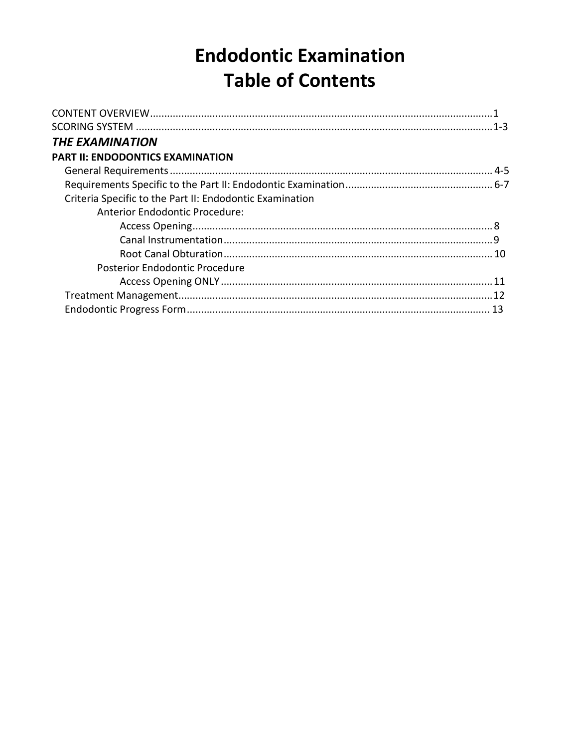# **Endodontic Examination Table of Contents**

| <b>THE EXAMINATION</b>                                   |  |
|----------------------------------------------------------|--|
| <b>PART II: ENDODONTICS EXAMINATION</b>                  |  |
|                                                          |  |
|                                                          |  |
| Criteria Specific to the Part II: Endodontic Examination |  |
| <b>Anterior Endodontic Procedure:</b>                    |  |
|                                                          |  |
|                                                          |  |
|                                                          |  |
| Posterior Endodontic Procedure                           |  |
|                                                          |  |
|                                                          |  |
|                                                          |  |
|                                                          |  |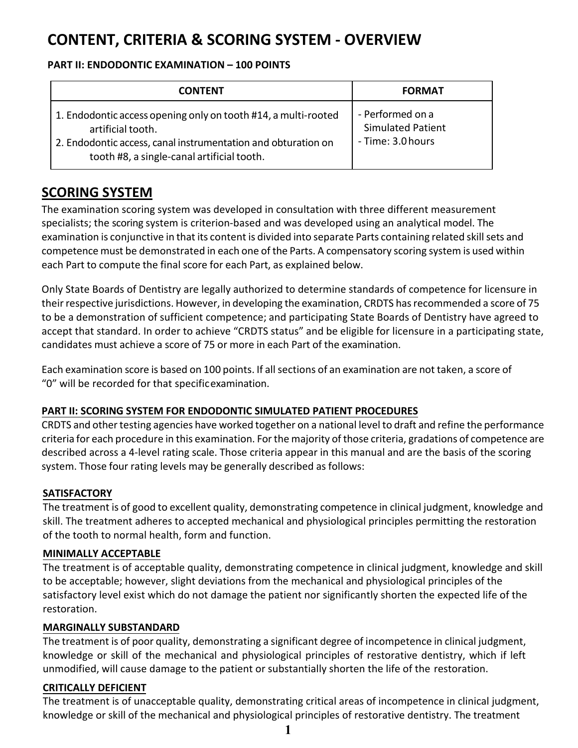## **CONTENT, CRITERIA & SCORING SYSTEM - OVERVIEW**

#### **PART II: ENDODONTIC EXAMINATION – 100 POINTS**

| <b>CONTENT</b>                                                                                                                                                                                     | <b>FORMAT</b>                                                     |
|----------------------------------------------------------------------------------------------------------------------------------------------------------------------------------------------------|-------------------------------------------------------------------|
| 1. Endodontic access opening only on tooth #14, a multi-rooted<br>artificial tooth.<br>2. Endodontic access, canal instrumentation and obturation on<br>tooth #8, a single-canal artificial tooth. | - Performed on a<br><b>Simulated Patient</b><br>- Time: 3.0 hours |

## **SCORING SYSTEM**

The examination scoring system was developed in consultation with three different measurement specialists; the scoring system is criterion-based and was developed using an analytical model. The examination is conjunctive in that its content is divided into separate Parts containing related skill sets and competence must be demonstrated in each one of the Parts. A compensatory scoring system is used within each Part to compute the final score for each Part, as explained below.

Only State Boards of Dentistry are legally authorized to determine standards of competence for licensure in their respective jurisdictions. However, in developing the examination, CRDTS has recommended a score of 75 to be a demonstration of sufficient competence; and participating State Boards of Dentistry have agreed to accept that standard. In order to achieve "CRDTS status" and be eligible for licensure in a participating state, candidates must achieve a score of 75 or more in each Part of the examination.

Each examination score is based on 100 points. If allsections of an examination are not taken, a score of "0" will be recorded for that specificexamination.

#### **PART II: SCORING SYSTEM FOR ENDODONTIC SIMULATED PATIENT PROCEDURES**

CRDTS and other testing agencies have worked together on a national level to draft and refine the performance criteria for each procedure in this examination. Forthe majority of those criteria, gradations of competence are described across a 4-level rating scale. Those criteria appear in this manual and are the basis of the scoring system. Those four rating levels may be generally described as follows:

#### **SATISFACTORY**

The treatment is of good to excellent quality, demonstrating competence in clinical judgment, knowledge and skill. The treatment adheres to accepted mechanical and physiological principles permitting the restoration of the tooth to normal health, form and function.

#### **MINIMALLY ACCEPTABLE**

The treatment is of acceptable quality, demonstrating competence in clinical judgment, knowledge and skill to be acceptable; however, slight deviations from the mechanical and physiological principles of the satisfactory level exist which do not damage the patient nor significantly shorten the expected life of the restoration.

#### **MARGINALLY SUBSTANDARD**

The treatment is of poor quality, demonstrating a significant degree of incompetence in clinical judgment, knowledge or skill of the mechanical and physiological principles of restorative dentistry, which if left unmodified, will cause damage to the patient or substantially shorten the life of the restoration.

#### **CRITICALLY DEFICIENT**

The treatment is of unacceptable quality, demonstrating critical areas of incompetence in clinical judgment, knowledge or skill of the mechanical and physiological principles of restorative dentistry. The treatment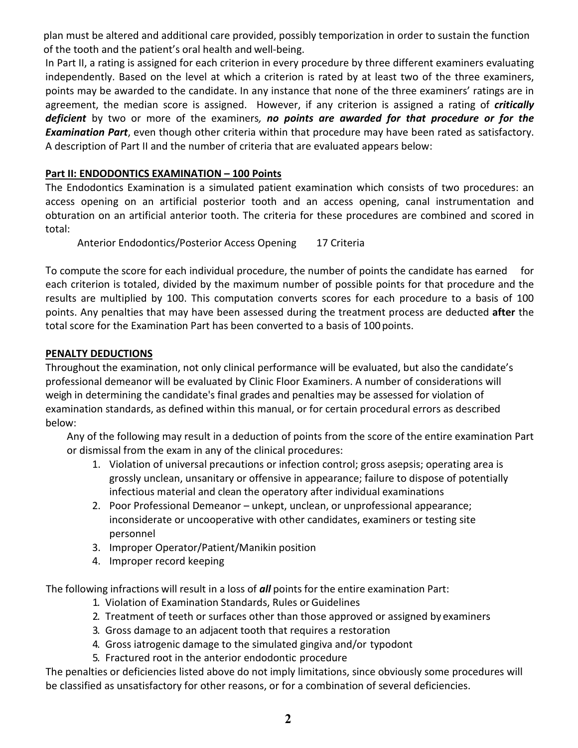plan must be altered and additional care provided, possibly temporization in order to sustain the function of the tooth and the patient's oral health and well-being.

In Part II, a rating is assigned for each criterion in every procedure by three different examiners evaluating independently. Based on the level at which a criterion is rated by at least two of the three examiners, points may be awarded to the candidate. In any instance that none of the three examiners' ratings are in agreement, the median score is assigned. However, if any criterion is assigned a rating of *critically deficient* by two or more of the examiners*, no points are awarded for that procedure or for the Examination Part*, even though other criteria within that procedure may have been rated as satisfactory. A description of Part II and the number of criteria that are evaluated appears below:

#### **Part II: ENDODONTICS EXAMINATION – 100 Points**

The Endodontics Examination is a simulated patient examination which consists of two procedures: an access opening on an artificial posterior tooth and an access opening, canal instrumentation and obturation on an artificial anterior tooth. The criteria for these procedures are combined and scored in total:

Anterior Endodontics/Posterior Access Opening 17 Criteria

To compute the score for each individual procedure, the number of points the candidate has earned for each criterion is totaled, divided by the maximum number of possible points for that procedure and the results are multiplied by 100. This computation converts scores for each procedure to a basis of 100 points. Any penalties that may have been assessed during the treatment process are deducted **after** the total score for the Examination Part has been converted to a basis of 100 points.

#### **PENALTY DEDUCTIONS**

Throughout the examination, not only clinical performance will be evaluated, but also the candidate's professional demeanor will be evaluated by Clinic Floor Examiners. A number of considerations will weigh in determining the candidate's final grades and penalties may be assessed for violation of examination standards, as defined within this manual, or for certain procedural errors as described below:

Any of the following may result in a deduction of points from the score of the entire examination Part or dismissal from the exam in any of the clinical procedures:

- 1. Violation of universal precautions or infection control; gross asepsis; operating area is grossly unclean, unsanitary or offensive in appearance; failure to dispose of potentially infectious material and clean the operatory after individual examinations
- 2. Poor Professional Demeanor unkept, unclean, or unprofessional appearance; inconsiderate or uncooperative with other candidates, examiners or testing site personnel
- 3. Improper Operator/Patient/Manikin position
- 4. Improper record keeping

The following infractions will result in a loss of *all* points for the entire examination Part:

- 1. Violation of Examination Standards, Rules or Guidelines
- 2. Treatment of teeth or surfaces other than those approved or assigned by examiners
- 3. Gross damage to an adjacent tooth that requires a restoration
- 4. Gross iatrogenic damage to the simulated gingiva and/or typodont
- 5. Fractured root in the anterior endodontic procedure

The penalties or deficiencies listed above do not imply limitations, since obviously some procedures will be classified as unsatisfactory for other reasons, or for a combination of several deficiencies.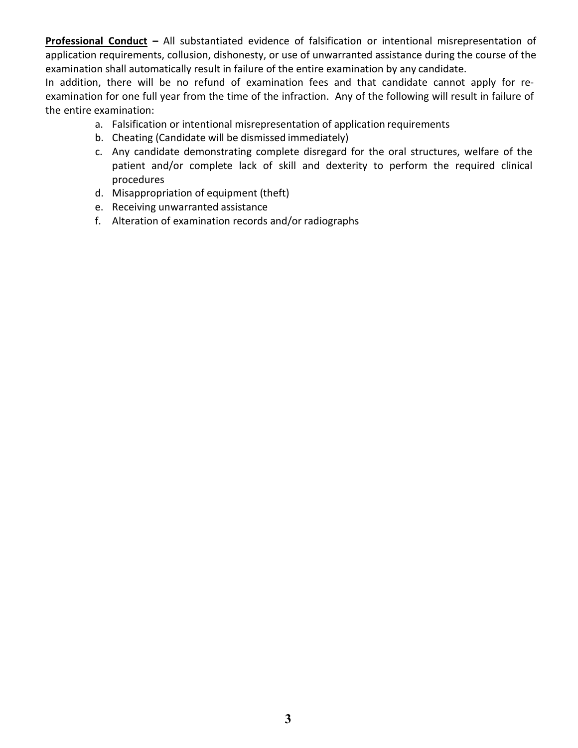**Professional Conduct –** All substantiated evidence of falsification or intentional misrepresentation of application requirements, collusion, dishonesty, or use of unwarranted assistance during the course of the examination shall automatically result in failure of the entire examination by any candidate.

In addition, there will be no refund of examination fees and that candidate cannot apply for reexamination for one full year from the time of the infraction. Any of the following will result in failure of the entire examination:

- a. Falsification or intentional misrepresentation of application requirements
- b. Cheating (Candidate will be dismissed immediately)
- c. Any candidate demonstrating complete disregard for the oral structures, welfare of the patient and/or complete lack of skill and dexterity to perform the required clinical procedures
- d. Misappropriation of equipment (theft)
- e. Receiving unwarranted assistance
- f. Alteration of examination records and/or radiographs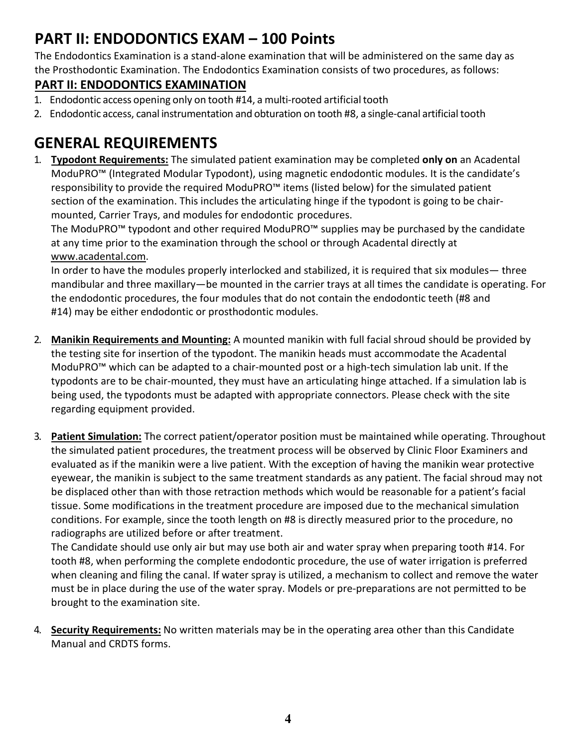## **PART II: ENDODONTICS EXAM – 100 Points**

The Endodontics Examination is a stand-alone examination that will be administered on the same day as the Prosthodontic Examination. The Endodontics Examination consists of two procedures, as follows:

### **PART II: ENDODONTICS EXAMINATION**

- 1. Endodontic access opening only on tooth #14, a multi-rooted artificial tooth
- 2. Endodontic access, canal instrumentation and obturation on tooth #8, a single-canal artificial tooth

## **GENERAL REQUIREMENTS**

1. **Typodont Requirements:** The simulated patient examination may be completed **only on** an Acadental ModuPRO™ (Integrated Modular Typodont), using magnetic endodontic modules. It is the candidate's responsibility to provide the required ModuPRO™ items (listed below) for the simulated patient section of the examination. This includes the articulating hinge if the typodont is going to be chairmounted, Carrier Trays, and modules for endodontic procedures.

The ModuPRO™ typodont and other required ModuPRO™ supplies may be purchased by the candidate at any time prior to the examination through the school or through Acadental directly at [www.acadental.com.](http://www.acadental.com/)

In order to have the modules properly interlocked and stabilized, it is required that six modules— three mandibular and three maxillary—be mounted in the carrier trays at all times the candidate is operating. For the endodontic procedures, the four modules that do not contain the endodontic teeth (#8 and #14) may be either endodontic or prosthodontic modules.

- 2. **Manikin Requirements and Mounting:** A mounted manikin with full facial shroud should be provided by the testing site for insertion of the typodont. The manikin heads must accommodate the Acadental ModuPRO™ which can be adapted to a chair-mounted post or a high-tech simulation lab unit. If the typodonts are to be chair-mounted, they must have an articulating hinge attached. If a simulation lab is being used, the typodonts must be adapted with appropriate connectors. Please check with the site [regarding equipment](http://www.acadental.com/) provided.
- 3. **Patient Simulation:** The correct patient/operator position must be maintained while operating. Throughout the simulated patient procedures, the treatment process will be observed by Clinic Floor Examiners and evaluated as if the manikin were a live patient. With the exception of having the manikin wear protective eyewear, the manikin is subject to the same treatment standards as any patient. The facial shroud may not be displaced other than with those retraction methods which would be reasonable for a patient's facial tissue. Some modifications in the treatment procedure are imposed due to the mechanical simulation conditions. For example, since the tooth length on #8 is directly measured prior to the procedure, no radiographs are utilized before or after treatment.

The Candidate should use only air but may use both air and water spray when preparing tooth #14. For tooth #8, when performing the complete endodontic procedure, the use of water irrigation is preferred when cleaning and filing the canal. If water spray is utilized, a mechanism to collect and remove the water must be in place during the use of the water spray. Models or pre-preparations are not permitted to be brought to the examination site.

4. **Security Requirements:** No written materials may be in the operating area other than this Candidate Manual and CRDTS forms.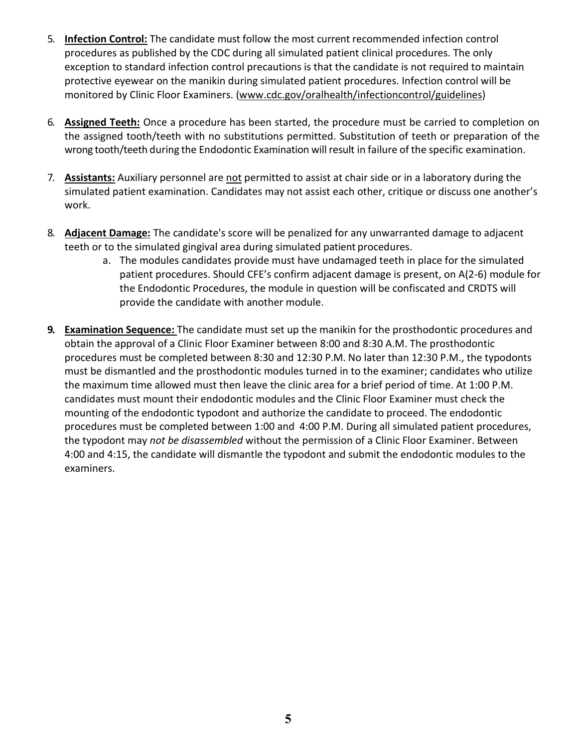- 5. **Infection Control:** The candidate must follow the most current recommended infection control procedures as published by the CDC during all simulated patient clinical procedures. The only exception to standard infection control precautions is that the candidate is not required to maintain protective eyewear on the manikin during simulated patient procedures. Infection control will be monitored by Clinic Floor Examiners. [\(www.cdc.gov/oralhealth/infectioncontrol/guidelines\)](http://www.cdc.gov/oralhealth/infectioncontrol/guidelines))
- 6. **Assigned Teeth:** Once a procedure has been started, the procedure must be carried to completion on the assigned tooth/teeth with no substitutions permitted. Substitution of teeth or preparation of the wrong tooth/teeth during the Endodontic Examination will result in failure of the specific examination.
- 7. **Assistants:** Auxiliary personnel are not permitted to assist at chair side or in a laboratory during the simulated patient [examination. Candidates may not assist each other](http://www.cdc.gov/oralhealth/infectioncontrol/guidelines), critique or discuss one another's work.
- 8. **Adjacent Damage:** The candidate's score will be penalized for any unwarranted damage to adjacent teeth or to the simulated gingival area during simulated patient procedures.
	- a. The modules candidates provide must have undamaged teeth in place for the simulated patient procedures. Should CFE's confirm adjacent damage is present, on A(2-6) module for the Endodontic Procedures, the module in question will be confiscated and CRDTS will provide the candidate with another module.
- **9. Examination Sequence:** The candidate must set up the manikin for the prosthodontic procedures and obtain the approval of a Clinic Floor Examiner between 8:00 and 8:30 A.M. The prosthodontic procedures must be completed between 8:30 and 12:30 P.M. No later than 12:30 P.M., the typodonts must be dismantled and the prosthodontic modules turned in to the examiner; candidates who utilize the maximum time allowed must then leave the clinic area for a brief period of time. At 1:00 P.M. candidates must mount their endodontic modules and the Clinic Floor Examiner must check the mounting of the endodontic typodont and authorize the candidate to proceed. The endodontic procedures must be completed between 1:00 and 4:00 P.M. During all simulated patient procedures, the typodont may *not be disassembled* without the permission of a Clinic Floor Examiner. Between 4:00 and 4:15, the candidate will dismantle the typodont and submit the endodontic modules to the examiners.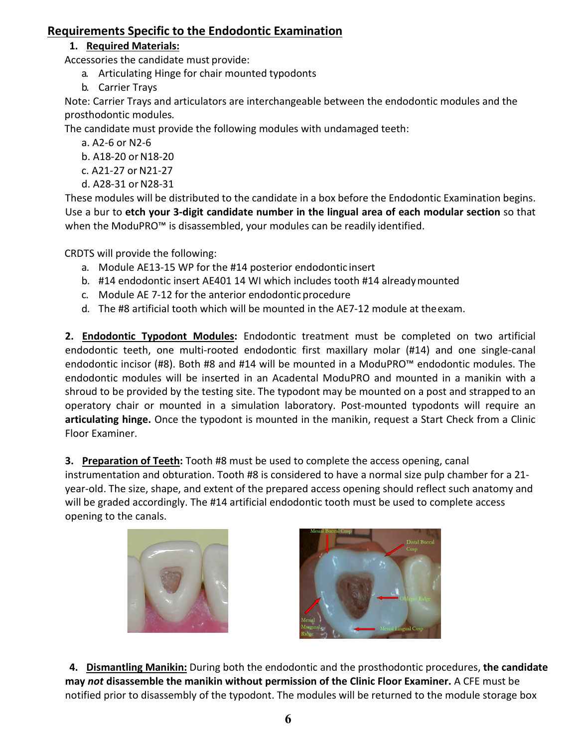#### **Requirements Specific to the Endodontic Examination**

#### **1. Required Materials:**

Accessories the candidate must provide:

- a. Articulating Hinge for chair mounted typodonts
- b. Carrier Trays

Note: Carrier Trays and articulators are interchangeable between the endodontic modules and the prosthodontic modules*.* 

The candidate must provide the following modules with undamaged teeth:

- a. A2-6 or N2-6
- b. A18-20 or N18-20
- c. A21-27 or N21-27
- d. A28-31 or N28-31

These modules will be distributed to the candidate in a box before the Endodontic Examination begins. Use a bur to **etch your 3-digit candidate number in the lingual area of each modular section** so that when the ModuPRO™ is disassembled, your modules can be readily identified.

CRDTS will provide the following:

- a. Module AE13-15 WP for the #14 posterior endodontic insert
- b. #14 endodontic insert AE401 14 WI which includes tooth #14 alreadymounted
- c. Module AE 7-12 for the anterior endodontic procedure
- d. The #8 artificial tooth which will be mounted in the AE7-12 module at theexam.

**2. Endodontic Typodont Modules:** Endodontic treatment must be completed on two artificial endodontic teeth, one multi-rooted endodontic first maxillary molar (#14) and one single-canal endodontic incisor (#8). Both #8 and #14 will be mounted in a ModuPRO™ endodontic modules. The endodontic modules will be inserted in an Acadental ModuPRO and mounted in a manikin with a shroud to be provided by the testing site. The typodont may be mounted on a post and strapped to an operatory chair or mounted in a simulation laboratory. Post-mounted typodonts will require an **articulating hinge.** Once the typodont is mounted in the manikin, request a Start Check from a Clinic Floor Examiner.

**3. Preparation of Teeth:** Tooth #8 must be used to complete the access opening, canal

instrumentation and obturation. Tooth #8 is considered to have a normal size pulp chamber for a 21 year-old. The size, shape, and extent of the prepared access opening should reflect such anatomy and will be graded accordingly. The #14 artificial endodontic tooth must be used to complete access opening to the canals.





**4. Dismantling Manikin:** During both the endodontic and the prosthodontic procedures, **the candidate may** *not* **disassemble the manikin without permission of the Clinic Floor Examiner.** A CFE must be notified prior to disassembly of the typodont. The modules will be returned to the module storage box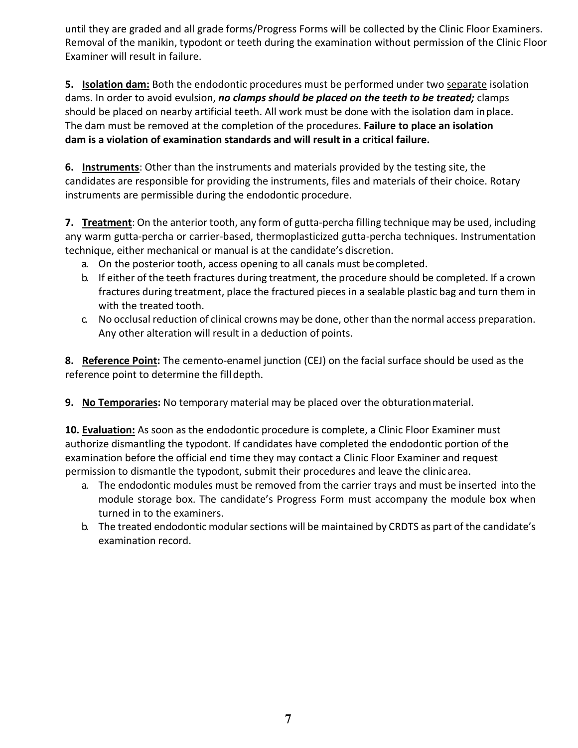until they are graded and all grade forms/Progress Forms will be collected by the Clinic Floor Examiners. Removal of the manikin, typodont or teeth during the examination without permission of the Clinic Floor Examiner will result in failure.

**5. Isolation dam:** Both the endodontic procedures must be performed under two separate isolation dams. In order to avoid evulsion, *no clamps should be placed on the teeth to be treated;* clamps should be placed on nearby artificial teeth. All work must be done with the isolation dam inplace. The dam must be removed at the completion of the procedures. **Failure to place an isolation dam is a violation of examination standards and will result in a critical failure.**

**6. Instruments**: Other than the instruments and materials provided by the testing site, the candidates are responsible for providing the instruments, files and materials of their choice. Rotary instruments are permissible during the endodontic procedure.

**7. Treatment**: On the anterior tooth, any form of gutta-percha filling technique may be used, including any warm gutta-percha or carrier-based, thermoplasticized gutta-percha techniques. Instrumentation technique, either mechanical or manual is at the candidate's discretion.

- a. On the posterior tooth, access opening to all canals must becompleted.
- b. If either of the teeth fractures during treatment, the procedure should be completed. If a crown fractures during treatment, place the fractured pieces in a sealable plastic bag and turn them in with the treated tooth.
- c. No occlusal reduction of clinical crowns may be done, other than the normal access preparation. Any other alteration will result in a deduction of points.

**8. Reference Point:** The cemento-enamel junction (CEJ) on the facial surface should be used as the reference point to determine the fill depth.

**9. No Temporaries:** No temporary material may be placed over the obturationmaterial.

**10. Evaluation:** As soon as the endodontic procedure is complete, a Clinic Floor Examiner must authorize dismantling the typodont. If candidates have completed the endodontic portion of the examination before the official end time they may contact a Clinic Floor Examiner and request permission to dismantle the typodont, submit their procedures and leave the clinic area.

- a. The endodontic modules must be removed from the carrier trays and must be inserted into the module storage box. The candidate's Progress Form must accompany the module box when turned in to the examiners.
- b. The treated endodontic modular sections will be maintained by CRDTS as part of the candidate's examination record.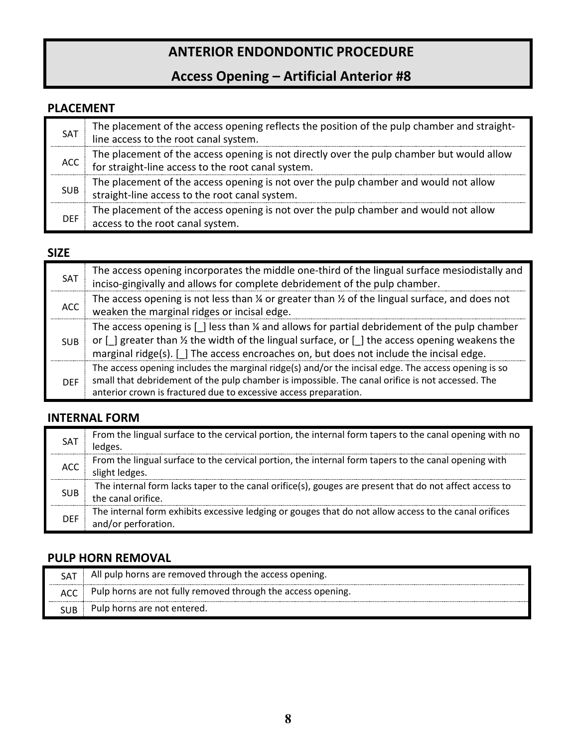## **ANTERIOR ENDONDONTIC PROCEDURE**

## **Access Opening – Artificial Anterior #8**

#### **PLACEMENT**

| SAT        | The placement of the access opening reflects the position of the pulp chamber and straight-<br>line access to the root canal system.            |
|------------|-------------------------------------------------------------------------------------------------------------------------------------------------|
| ACC        | The placement of the access opening is not directly over the pulp chamber but would allow<br>for straight-line access to the root canal system. |
| <b>SUB</b> | The placement of the access opening is not over the pulp chamber and would not allow<br>straight-line access to the root canal system.          |
| <b>DEF</b> | The placement of the access opening is not over the pulp chamber and would not allow<br>access to the root canal system.                        |

#### **SIZE**

| SAT        | The access opening incorporates the middle one-third of the lingual surface mesiodistally and<br>inciso-gingivally and allows for complete debridement of the pulp chamber.                                                                                                                            |
|------------|--------------------------------------------------------------------------------------------------------------------------------------------------------------------------------------------------------------------------------------------------------------------------------------------------------|
| ACC        | The access opening is not less than $\frac{1}{4}$ or greater than $\frac{1}{2}$ of the lingual surface, and does not<br>weaken the marginal ridges or incisal edge.                                                                                                                                    |
| <b>SUB</b> | The access opening is $[ ]$ less than $\frac{1}{4}$ and allows for partial debridement of the pulp chamber<br>or [] greater than 1/2 the width of the lingual surface, or [] the access opening weakens the<br>marginal ridge(s). [ ] The access encroaches on, but does not include the incisal edge. |
| <b>DFF</b> | The access opening includes the marginal ridge(s) and/or the incisal edge. The access opening is so<br>small that debridement of the pulp chamber is impossible. The canal orifice is not accessed. The<br>anterior crown is fractured due to excessive access preparation.                            |

#### **INTERNAL FORM**

| <b>SAT</b> | From the lingual surface to the cervical portion, the internal form tapers to the canal opening with no<br>ledges.           |
|------------|------------------------------------------------------------------------------------------------------------------------------|
| <b>ACC</b> | From the lingual surface to the cervical portion, the internal form tapers to the canal opening with<br>slight ledges.       |
| <b>SUB</b> | The internal form lacks taper to the canal orifice(s), gouges are present that do not affect access to<br>the canal orifice. |
| <b>DEF</b> | The internal form exhibits excessive ledging or gouges that do not allow access to the canal orifices<br>and/or perforation. |

#### **PULP HORN REMOVAL**

|     | All pulp horns are removed through the access opening.       |
|-----|--------------------------------------------------------------|
| ACC | Pulp horns are not fully removed through the access opening. |
|     | Pulp horns are not entered.                                  |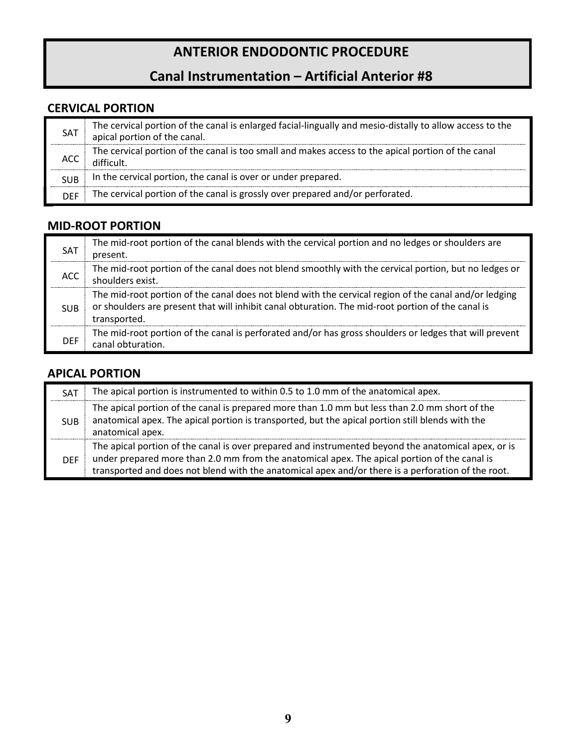## **ANTERIOR ENDODONTIC PROCEDURE**

## **Canal Instrumentation – Artificial Anterior #8**

#### **CERVICAL PORTION**

| SAT        | The cervical portion of the canal is enlarged facial-lingually and mesio-distally to allow access to the<br>apical portion of the canal. |
|------------|------------------------------------------------------------------------------------------------------------------------------------------|
| ACC        | The cervical portion of the canal is too small and makes access to the apical portion of the canal<br>difficult.                         |
| <b>SUB</b> | In the cervical portion, the canal is over or under prepared.                                                                            |
| DEE        | The cervical portion of the canal is grossly over prepared and/or perforated.                                                            |

#### **MID-ROOT PORTION**

| <b>SAT</b> | The mid-root portion of the canal blends with the cervical portion and no ledges or shoulders are<br>present.                                                                                                              |
|------------|----------------------------------------------------------------------------------------------------------------------------------------------------------------------------------------------------------------------------|
| <b>ACC</b> | The mid-root portion of the canal does not blend smoothly with the cervical portion, but no ledges or<br>shoulders exist.                                                                                                  |
| <b>SUB</b> | The mid-root portion of the canal does not blend with the cervical region of the canal and/or ledging<br>or shoulders are present that will inhibit canal obturation. The mid-root portion of the canal is<br>transported. |
| <b>DFF</b> | The mid-root portion of the canal is perforated and/or has gross shoulders or ledges that will prevent<br>canal obturation.                                                                                                |

#### **APICAL PORTION**

| <b>SAT</b> | The apical portion is instrumented to within 0.5 to 1.0 mm of the anatomical apex.                                                                                                                                                                                                                        |
|------------|-----------------------------------------------------------------------------------------------------------------------------------------------------------------------------------------------------------------------------------------------------------------------------------------------------------|
| <b>SUB</b> | The apical portion of the canal is prepared more than 1.0 mm but less than 2.0 mm short of the<br>anatomical apex. The apical portion is transported, but the apical portion still blends with the<br>anatomical apex.                                                                                    |
| <b>DFF</b> | The apical portion of the canal is over prepared and instrumented beyond the anatomical apex, or is<br>under prepared more than 2.0 mm from the anatomical apex. The apical portion of the canal is<br>transported and does not blend with the anatomical apex and/or there is a perforation of the root. |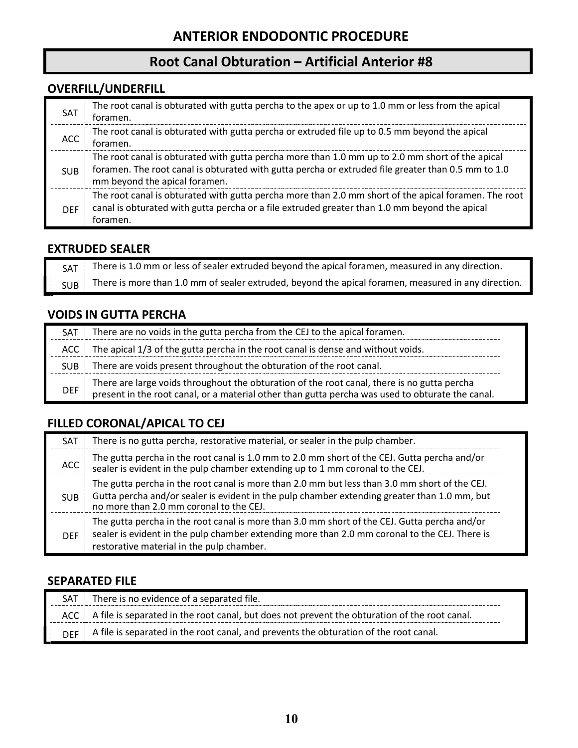### **Root Canal Obturation – Artificial Anterior #8**

#### **OVERFILL/UNDERFILL**

| SAT        | The root canal is obturated with gutta percha to the apex or up to 1.0 mm or less from the apical<br>toramen.                                                                                                                          |
|------------|----------------------------------------------------------------------------------------------------------------------------------------------------------------------------------------------------------------------------------------|
| ACC        | The root canal is obturated with gutta percha or extruded file up to 0.5 mm beyond the apical<br>toramen.                                                                                                                              |
| <b>SUB</b> | The root canal is obturated with gutta percha more than 1.0 mm up to 2.0 mm short of the apical<br>foramen. The root canal is obturated with gutta percha or extruded file greater than 0.5 mm to 1.0<br>mm beyond the apical foramen. |
| <b>DFF</b> | The root canal is obturated with gutta percha more than 2.0 mm short of the apical foramen. The root<br>canal is obturated with gutta percha or a file extruded greater than 1.0 mm beyond the apical<br>toramen.                      |

#### **EXTRUDED SEALER**

| There is 1.0 mm or less of sealer extruded beyond the apical foramen, measured in any direction.    |
|-----------------------------------------------------------------------------------------------------|
| There is more than 1.0 mm of sealer extruded, beyond the apical foramen, measured in any direction. |

#### **VOIDS IN GUTTA PERCHA**

| <b>SAT</b> | There are no voids in the gutta percha from the CEJ to the apical foramen.                                                                                                                      |
|------------|-------------------------------------------------------------------------------------------------------------------------------------------------------------------------------------------------|
| ACC        | The apical 1/3 of the gutta percha in the root canal is dense and without voids.                                                                                                                |
| <b>SUB</b> | There are voids present throughout the obturation of the root canal.                                                                                                                            |
| <b>DEF</b> | There are large voids throughout the obturation of the root canal, there is no gutta percha<br>present in the root canal, or a material other than gutta percha was used to obturate the canal. |

#### **FILLED CORONAL/APICAL TO CEJ**

| <b>SAT</b> | There is no gutta percha, restorative material, or sealer in the pulp chamber.                                                                                                                                                             |  |
|------------|--------------------------------------------------------------------------------------------------------------------------------------------------------------------------------------------------------------------------------------------|--|
| ACC        | The gutta percha in the root canal is 1.0 mm to 2.0 mm short of the CEJ. Gutta percha and/or<br>sealer is evident in the pulp chamber extending up to 1 mm coronal to the CEJ.                                                             |  |
| <b>SUB</b> | The gutta percha in the root canal is more than 2.0 mm but less than 3.0 mm short of the CEJ.<br>Gutta percha and/or sealer is evident in the pulp chamber extending greater than 1.0 mm, but<br>no more than 2.0 mm coronal to the CEJ.   |  |
| <b>DFF</b> | The gutta percha in the root canal is more than 3.0 mm short of the CEJ. Gutta percha and/or<br>sealer is evident in the pulp chamber extending more than 2.0 mm coronal to the CEJ. There is<br>restorative material in the pulp chamber. |  |

#### **SEPARATED FILE**

| <b>SAT</b> | There is no evidence of a separated file.                                                           |
|------------|-----------------------------------------------------------------------------------------------------|
|            | ACC   A file is separated in the root canal, but does not prevent the obturation of the root canal. |
|            | A file is separated in the root canal, and prevents the obturation of the root canal.               |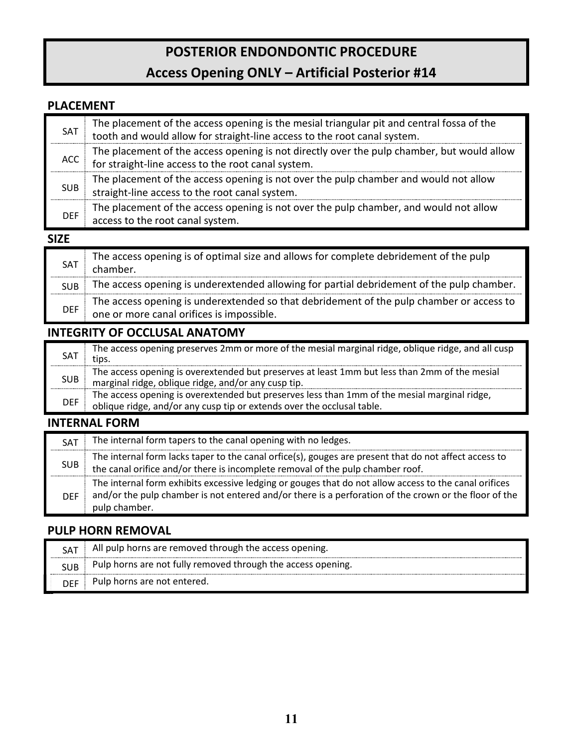# **POSTERIOR ENDONDONTIC PROCEDURE**

## **Access Opening ONLY – Artificial Posterior #14**

#### **PLACEMENT**

| SAT        | The placement of the access opening is the mesial triangular pit and central fossa of the<br>tooth and would allow for straight-line access to the root canal system. |  |
|------------|-----------------------------------------------------------------------------------------------------------------------------------------------------------------------|--|
| ACC        | The placement of the access opening is not directly over the pulp chamber, but would allow<br>for straight-line access to the root canal system.                      |  |
| <b>SUB</b> | The placement of the access opening is not over the pulp chamber and would not allow<br>straight-line access to the root canal system.                                |  |
| <b>DEF</b> | The placement of the access opening is not over the pulp chamber, and would not allow<br>access to the root canal system.                                             |  |

#### **SIZE**

| <b>SAT</b>                                                                                                                                          | The access opening is of optimal size and allows for complete debridement of the pulp<br>chamber. |  |
|-----------------------------------------------------------------------------------------------------------------------------------------------------|---------------------------------------------------------------------------------------------------|--|
| <b>SUB</b>                                                                                                                                          | The access opening is underextended allowing for partial debridement of the pulp chamber.         |  |
| The access opening is underextended so that debridement of the pulp chamber or access to<br><b>DEF</b><br>one or more canal orifices is impossible. |                                                                                                   |  |

#### **INTEGRITY OF OCCLUSAL ANATOMY**

| <b>SAT</b> | The access opening preserves 2mm or more of the mesial marginal ridge, oblique ridge, and all cusp<br>tips.                                                            |
|------------|------------------------------------------------------------------------------------------------------------------------------------------------------------------------|
| <b>SUB</b> | The access opening is overextended but preserves at least 1mm but less than 2mm of the mesial<br>marginal ridge, oblique ridge, and/or any cusp tip.                   |
| <b>DEF</b> | The access opening is overextended but preserves less than 1mm of the mesial marginal ridge,<br>oblique ridge, and/or any cusp tip or extends over the occlusal table. |

#### **INTERNAL FORM**

| <b>SAT</b> | The internal form tapers to the canal opening with no ledges.                                                                                                                                                                   |  |
|------------|---------------------------------------------------------------------------------------------------------------------------------------------------------------------------------------------------------------------------------|--|
| <b>SUB</b> | The internal form lacks taper to the canal orfice(s), gouges are present that do not affect access to<br>the canal orifice and/or there is incomplete removal of the pulp chamber roof.                                         |  |
| <b>DFF</b> | The internal form exhibits excessive ledging or gouges that do not allow access to the canal orifices<br>and/or the pulp chamber is not entered and/or there is a perforation of the crown or the floor of the<br>pulp chamber. |  |

#### **PULP HORN REMOVAL**

| <b>SAT</b> | All pulp horns are removed through the access opening.       |
|------------|--------------------------------------------------------------|
| <b>SUB</b> | Pulp horns are not fully removed through the access opening. |
| DEF        | Pulp horns are not entered.                                  |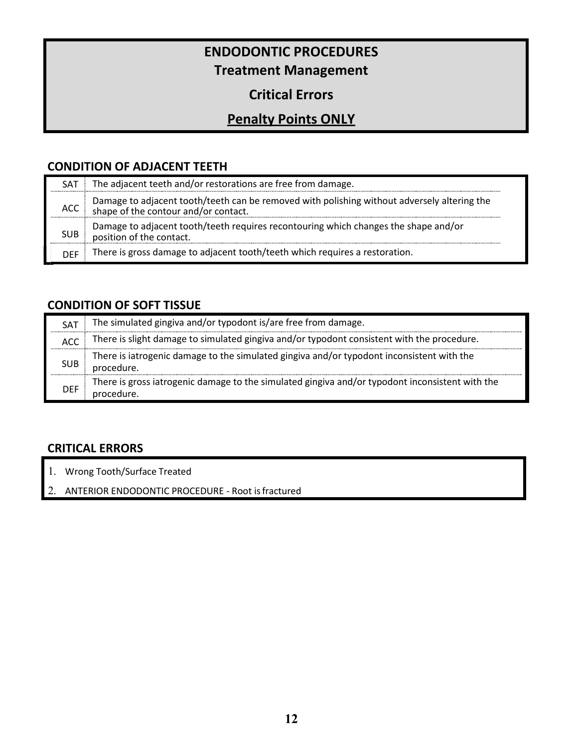## **ENDODONTIC PROCEDURES Treatment Management**

### **Critical Errors**

## **Penalty Points ONLY**

#### **CONDITION OF ADJACENT TEETH**

| SAT        | The adjacent teeth and/or restorations are free from damage.                                                                     |  |
|------------|----------------------------------------------------------------------------------------------------------------------------------|--|
| ACC.       | Damage to adjacent tooth/teeth can be removed with polishing without adversely altering the shape of the contour and/or contact. |  |
| <b>SUB</b> | Damage to adjacent tooth/teeth requires recontouring which changes the shape and/or<br>position of the contact.                  |  |
| <b>DFF</b> | There is gross damage to adjacent tooth/teeth which requires a restoration.                                                      |  |

#### **CONDITION OF SOFT TISSUE**

| SAT        | The simulated gingiva and/or typodont is/are free from damage.                                                |  |
|------------|---------------------------------------------------------------------------------------------------------------|--|
| ACC.       | There is slight damage to simulated gingiva and/or typodont consistent with the procedure.                    |  |
| <b>SUB</b> | There is iatrogenic damage to the simulated gingiva and/or typodont inconsistent with the<br>procedure.       |  |
| <b>DEF</b> | There is gross iatrogenic damage to the simulated gingiva and/or typodont inconsistent with the<br>procedure. |  |

#### **CRITICAL ERRORS**

- 1. Wrong Tooth/Surface Treated
- 2. ANTERIOR ENDODONTIC PROCEDURE Root isfractured